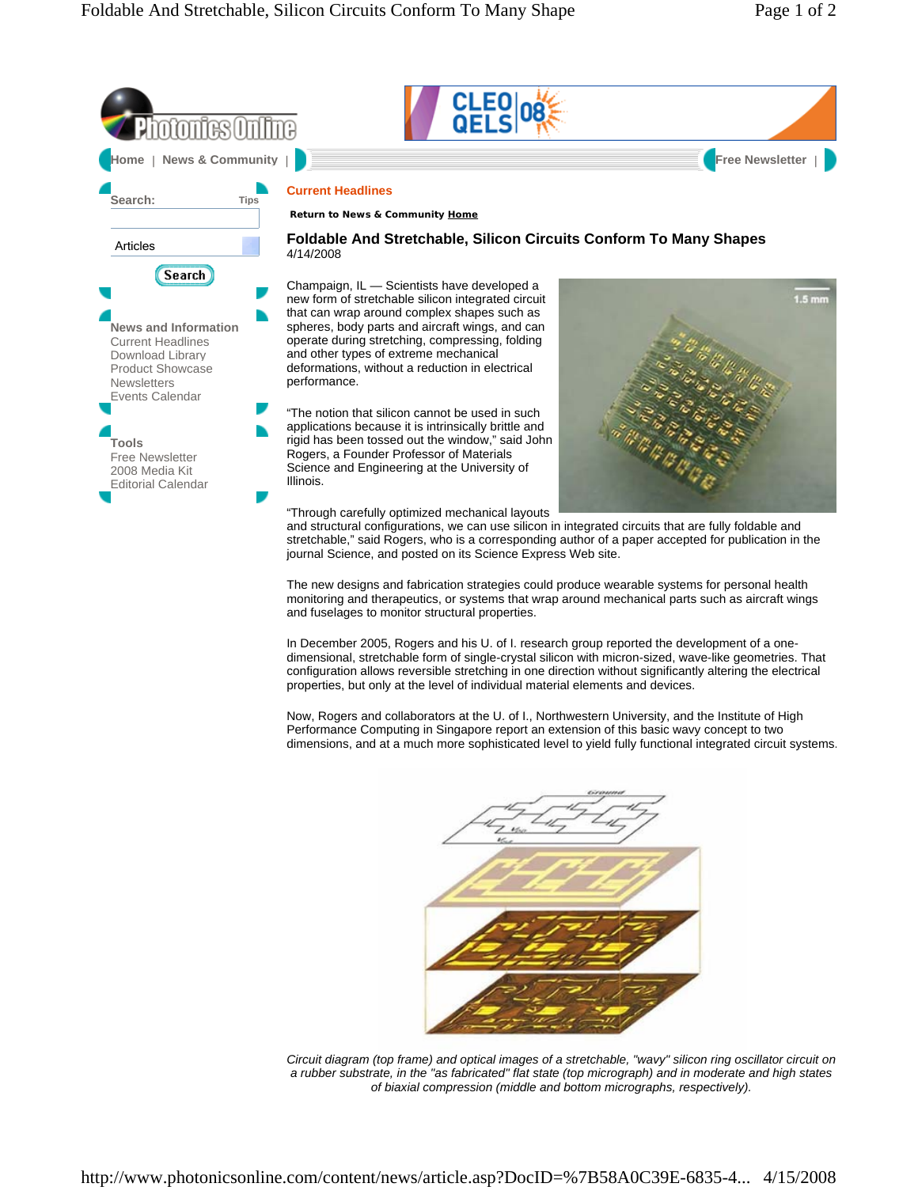

The new designs and fabrication strategies could produce wearable systems for personal health monitoring and therapeutics, or systems that wrap around mechanical parts such as aircraft wings and fuselages to monitor structural properties.

In December 2005, Rogers and his U. of I. research group reported the development of a onedimensional, stretchable form of single-crystal silicon with micron-sized, wave-like geometries. That configuration allows reversible stretching in one direction without significantly altering the electrical properties, but only at the level of individual material elements and devices.

Now, Rogers and collaborators at the U. of I., Northwestern University, and the Institute of High Performance Computing in Singapore report an extension of this basic wavy concept to two dimensions, and at a much more sophisticated level to yield fully functional integrated circuit systems.



*Circuit diagram (top frame) and optical images of a stretchable, "wavy" silicon ring oscillator circuit on a rubber substrate, in the "as fabricated" flat state (top micrograph) and in moderate and high states of biaxial compression (middle and bottom micrographs, respectively).*